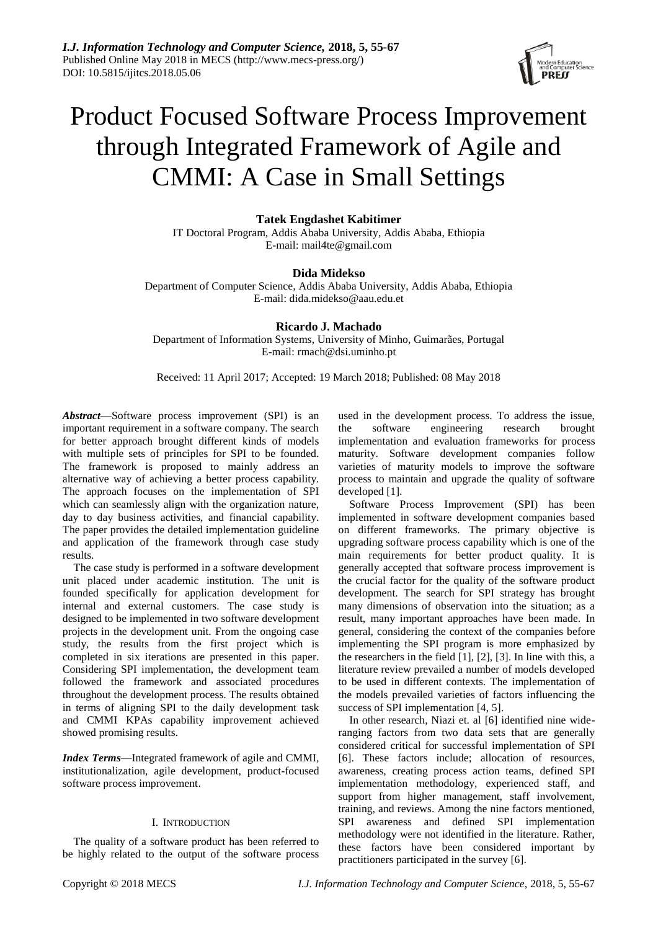

# Product Focused Software Process Improvement through Integrated Framework of Agile and CMMI: A Case in Small Settings

**Tatek Engdashet Kabitimer**

IT Doctoral Program, Addis Ababa University, Addis Ababa, Ethiopia E-mail: mail4te@gmail.com

# **Dida Midekso**

Department of Computer Science, Addis Ababa University, Addis Ababa, Ethiopia E-mail: dida.midekso@aau.edu.et

**Ricardo J. Machado** Department of Information Systems, University of Minho, Guimarães, Portugal E-mail: rmach@dsi.uminho.pt

Received: 11 April 2017; Accepted: 19 March 2018; Published: 08 May 2018

*Abstract*—Software process improvement (SPI) is an important requirement in a software company. The search for better approach brought different kinds of models with multiple sets of principles for SPI to be founded. The framework is proposed to mainly address an alternative way of achieving a better process capability. The approach focuses on the implementation of SPI which can seamlessly align with the organization nature, day to day business activities, and financial capability. The paper provides the detailed implementation guideline and application of the framework through case study results.

The case study is performed in a software development unit placed under academic institution. The unit is founded specifically for application development for internal and external customers. The case study is designed to be implemented in two software development projects in the development unit. From the ongoing case study, the results from the first project which is completed in six iterations are presented in this paper. Considering SPI implementation, the development team followed the framework and associated procedures throughout the development process. The results obtained in terms of aligning SPI to the daily development task and CMMI KPAs capability improvement achieved showed promising results.

*Index Terms*—Integrated framework of agile and CMMI, institutionalization, agile development, product-focused software process improvement.

# I. INTRODUCTION

The quality of a software product has been referred to be highly related to the output of the software process used in the development process. To address the issue, the software engineering research brought implementation and evaluation frameworks for process maturity. Software development companies follow varieties of maturity models to improve the software process to maintain and upgrade the quality of software developed [1].

Software Process Improvement (SPI) has been implemented in software development companies based on different frameworks. The primary objective is upgrading software process capability which is one of the main requirements for better product quality. It is generally accepted that software process improvement is the crucial factor for the quality of the software product development. The search for SPI strategy has brought many dimensions of observation into the situation; as a result, many important approaches have been made. In general, considering the context of the companies before implementing the SPI program is more emphasized by the researchers in the field [1], [2], [3]. In line with this, a literature review prevailed a number of models developed to be used in different contexts. The implementation of the models prevailed varieties of factors influencing the success of SPI implementation [4, 5].

In other research, Niazi et. al [6] identified nine wideranging factors from two data sets that are generally considered critical for successful implementation of SPI [6]. These factors include; allocation of resources, awareness, creating process action teams, defined SPI implementation methodology, experienced staff, and support from higher management, staff involvement, training, and reviews. Among the nine factors mentioned, SPI awareness and defined SPI implementation methodology were not identified in the literature. Rather, these factors have been considered important by practitioners participated in the survey [6].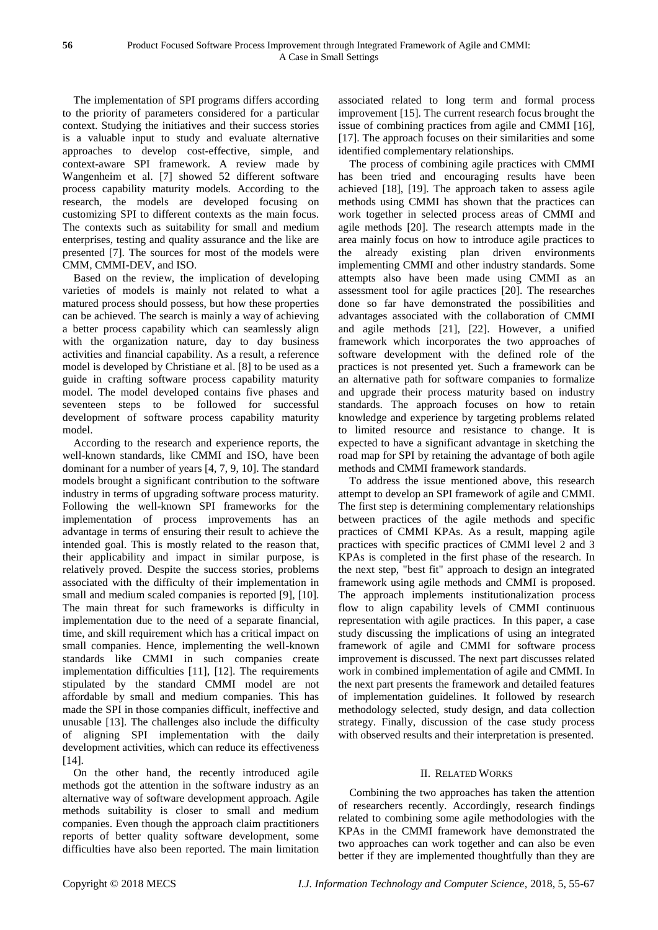The implementation of SPI programs differs according to the priority of parameters considered for a particular context. Studying the initiatives and their success stories is a valuable input to study and evaluate alternative approaches to develop cost-effective, simple, and context-aware SPI framework. A review made by Wangenheim et al. [7] showed 52 different software process capability maturity models. According to the research, the models are developed focusing on customizing SPI to different contexts as the main focus. The contexts such as suitability for small and medium enterprises, testing and quality assurance and the like are presented [7]. The sources for most of the models were CMM, CMMI-DEV, and ISO.

Based on the review, the implication of developing varieties of models is mainly not related to what a matured process should possess, but how these properties can be achieved. The search is mainly a way of achieving a better process capability which can seamlessly align with the organization nature, day to day business activities and financial capability. As a result, a reference model is developed by Christiane et al. [8] to be used as a guide in crafting software process capability maturity model. The model developed contains five phases and seventeen steps to be followed for successful development of software process capability maturity model.

According to the research and experience reports, the well-known standards, like CMMI and ISO, have been dominant for a number of years [4, 7, 9, 10]. The standard models brought a significant contribution to the software industry in terms of upgrading software process maturity. Following the well-known SPI frameworks for the implementation of process improvements has an advantage in terms of ensuring their result to achieve the intended goal. This is mostly related to the reason that, their applicability and impact in similar purpose, is relatively proved. Despite the success stories, problems associated with the difficulty of their implementation in small and medium scaled companies is reported [9], [10]. The main threat for such frameworks is difficulty in implementation due to the need of a separate financial, time, and skill requirement which has a critical impact on small companies. Hence, implementing the well-known standards like CMMI in such companies create implementation difficulties [11], [12]. The requirements stipulated by the standard CMMI model are not affordable by small and medium companies. This has made the SPI in those companies difficult, ineffective and unusable [13]. The challenges also include the difficulty of aligning SPI implementation with the daily development activities, which can reduce its effectiveness [14].

On the other hand, the recently introduced agile methods got the attention in the software industry as an alternative way of software development approach. Agile methods suitability is closer to small and medium companies. Even though the approach claim practitioners reports of better quality software development, some difficulties have also been reported. The main limitation associated related to long term and formal process improvement [15]. The current research focus brought the issue of combining practices from agile and CMMI [16], [17]. The approach focuses on their similarities and some identified complementary relationships.

The process of combining agile practices with CMMI has been tried and encouraging results have been achieved [18], [19]. The approach taken to assess agile methods using CMMI has shown that the practices can work together in selected process areas of CMMI and agile methods [20]. The research attempts made in the area mainly focus on how to introduce agile practices to the already existing plan driven environments implementing CMMI and other industry standards. Some attempts also have been made using CMMI as an assessment tool for agile practices [20]. The researches done so far have demonstrated the possibilities and advantages associated with the collaboration of CMMI and agile methods [21], [22]. However, a unified framework which incorporates the two approaches of software development with the defined role of the practices is not presented yet. Such a framework can be an alternative path for software companies to formalize and upgrade their process maturity based on industry standards. The approach focuses on how to retain knowledge and experience by targeting problems related to limited resource and resistance to change. It is expected to have a significant advantage in sketching the road map for SPI by retaining the advantage of both agile methods and CMMI framework standards.

To address the issue mentioned above, this research attempt to develop an SPI framework of agile and CMMI. The first step is determining complementary relationships between practices of the agile methods and specific practices of CMMI KPAs. As a result, mapping agile practices with specific practices of CMMI level 2 and 3 KPAs is completed in the first phase of the research. In the next step, "best fit" approach to design an integrated framework using agile methods and CMMI is proposed. The approach implements institutionalization process flow to align capability levels of CMMI continuous representation with agile practices. In this paper, a case study discussing the implications of using an integrated framework of agile and CMMI for software process improvement is discussed. The next part discusses related work in combined implementation of agile and CMMI. In the next part presents the framework and detailed features of implementation guidelines. It followed by research methodology selected, study design, and data collection strategy. Finally, discussion of the case study process with observed results and their interpretation is presented.

# II. RELATED WORKS

Combining the two approaches has taken the attention of researchers recently. Accordingly, research findings related to combining some agile methodologies with the KPAs in the CMMI framework have demonstrated the two approaches can work together and can also be even better if they are implemented thoughtfully than they are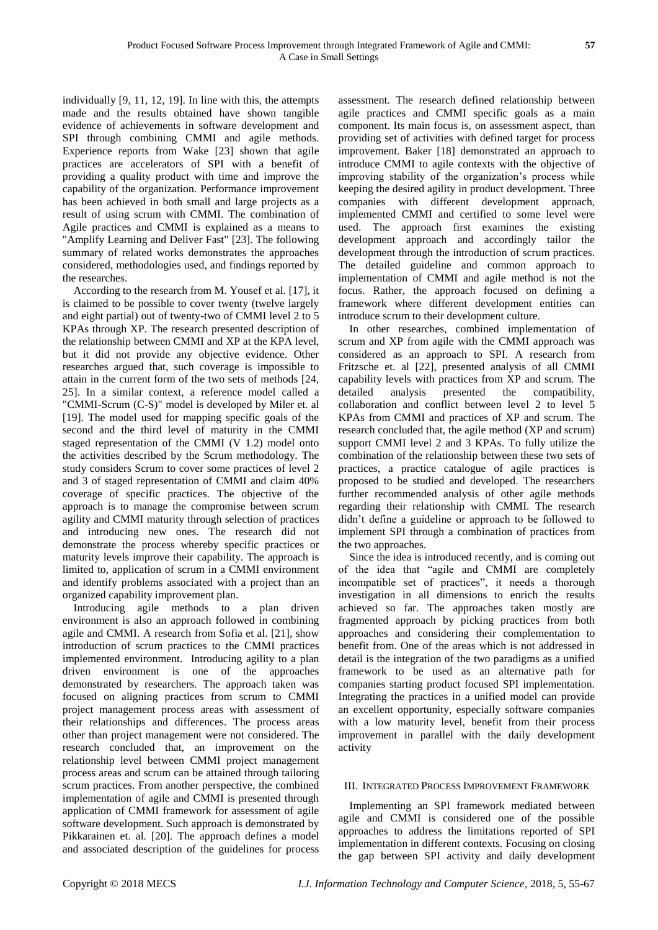individually [9, 11, 12, 19]. In line with this, the attempts made and the results obtained have shown tangible evidence of achievements in software development and SPI through combining CMMI and agile methods. Experience reports from Wake [23] shown that agile practices are accelerators of SPI with a benefit of providing a quality product with time and improve the capability of the organization. Performance improvement has been achieved in both small and large projects as a result of using scrum with CMMI. The combination of Agile practices and CMMI is explained as a means to "Amplify Learning and Deliver Fast" [23]. The following summary of related works demonstrates the approaches considered, methodologies used, and findings reported by the researches.

According to the research from M. Yousef et al. [17], it is claimed to be possible to cover twenty (twelve largely and eight partial) out of twenty-two of CMMI level 2 to 5 KPAs through XP. The research presented description of the relationship between CMMI and XP at the KPA level, but it did not provide any objective evidence. Other researches argued that, such coverage is impossible to attain in the current form of the two sets of methods [24, 25]. In a similar context, a reference model called a "CMMI-Scrum (C-S)" model is developed by Miler et. al [19]. The model used for mapping specific goals of the second and the third level of maturity in the CMMI staged representation of the CMMI (V 1.2) model onto the activities described by the Scrum methodology. The study considers Scrum to cover some practices of level 2 and 3 of staged representation of CMMI and claim 40% coverage of specific practices. The objective of the approach is to manage the compromise between scrum agility and CMMI maturity through selection of practices and introducing new ones. The research did not demonstrate the process whereby specific practices or maturity levels improve their capability. The approach is limited to, application of scrum in a CMMI environment and identify problems associated with a project than an organized capability improvement plan.

Introducing agile methods to a plan driven environment is also an approach followed in combining agile and CMMI. A research from Sofia et al. [21], show introduction of scrum practices to the CMMI practices implemented environment. Introducing agility to a plan driven environment is one of the approaches demonstrated by researchers. The approach taken was focused on aligning practices from scrum to CMMI project management process areas with assessment of their relationships and differences. The process areas other than project management were not considered. The research concluded that, an improvement on the relationship level between CMMI project management process areas and scrum can be attained through tailoring scrum practices. From another perspective, the combined implementation of agile and CMMI is presented through application of CMMI framework for assessment of agile software development. Such approach is demonstrated by Pikkarainen et. al. [20]. The approach defines a model and associated description of the guidelines for process

assessment. The research defined relationship between agile practices and CMMI specific goals as a main component. Its main focus is, on assessment aspect, than providing set of activities with defined target for process improvement. Baker [18] demonstrated an approach to introduce CMMI to agile contexts with the objective of improving stability of the organization's process while keeping the desired agility in product development. Three companies with different development approach, implemented CMMI and certified to some level were used. The approach first examines the existing development approach and accordingly tailor the development through the introduction of scrum practices. The detailed guideline and common approach to implementation of CMMI and agile method is not the focus. Rather, the approach focused on defining a framework where different development entities can introduce scrum to their development culture.

In other researches, combined implementation of scrum and XP from agile with the CMMI approach was considered as an approach to SPI. A research from Fritzsche et. al [22], presented analysis of all CMMI capability levels with practices from XP and scrum. The detailed analysis presented the compatibility, collaboration and conflict between level 2 to level 5 KPAs from CMMI and practices of XP and scrum. The research concluded that, the agile method (XP and scrum) support CMMI level 2 and 3 KPAs. To fully utilize the combination of the relationship between these two sets of practices, a practice catalogue of agile practices is proposed to be studied and developed. The researchers further recommended analysis of other agile methods regarding their relationship with CMMI. The research didn't define a guideline or approach to be followed to implement SPI through a combination of practices from the two approaches.

Since the idea is introduced recently, and is coming out of the idea that "agile and CMMI are completely incompatible set of practices", it needs a thorough investigation in all dimensions to enrich the results achieved so far. The approaches taken mostly are fragmented approach by picking practices from both approaches and considering their complementation to benefit from. One of the areas which is not addressed in detail is the integration of the two paradigms as a unified framework to be used as an alternative path for companies starting product focused SPI implementation. Integrating the practices in a unified model can provide an excellent opportunity, especially software companies with a low maturity level, benefit from their process improvement in parallel with the daily development activity

# III. INTEGRATED PROCESS IMPROVEMENT FRAMEWORK

Implementing an SPI framework mediated between agile and CMMI is considered one of the possible approaches to address the limitations reported of SPI implementation in different contexts. Focusing on closing the gap between SPI activity and daily development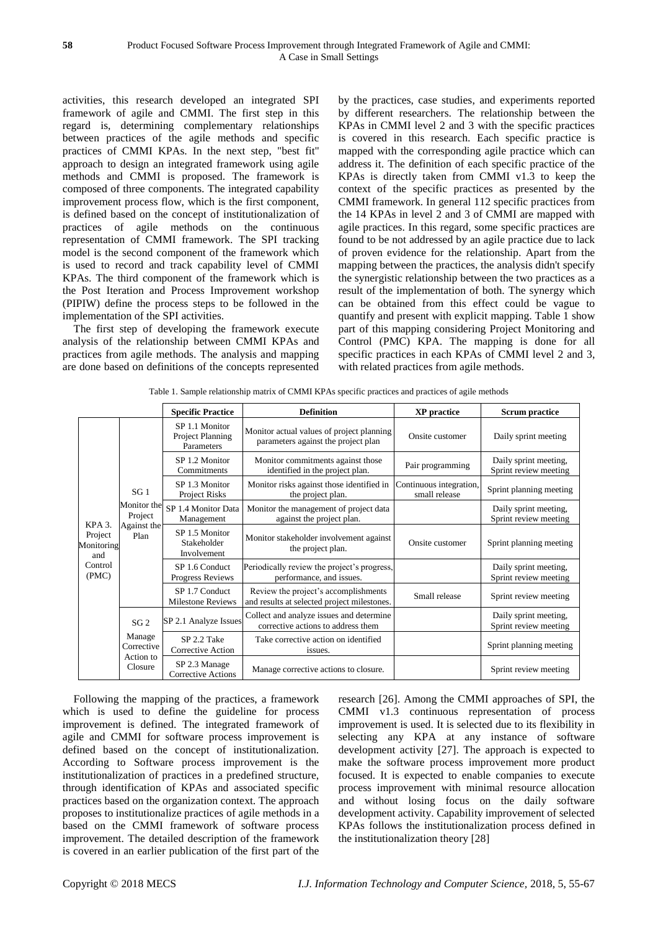activities, this research developed an integrated SPI framework of agile and CMMI. The first step in this regard is, determining complementary relationships between practices of the agile methods and specific practices of CMMI KPAs. In the next step, "best fit" approach to design an integrated framework using agile methods and CMMI is proposed. The framework is composed of three components. The integrated capability improvement process flow, which is the first component, is defined based on the concept of institutionalization of practices of agile methods on the continuous representation of CMMI framework. The SPI tracking model is the second component of the framework which is used to record and track capability level of CMMI KPAs. The third component of the framework which is the Post Iteration and Process Improvement workshop (PIPIW) define the process steps to be followed in the implementation of the SPI activities.

The first step of developing the framework execute analysis of the relationship between CMMI KPAs and practices from agile methods. The analysis and mapping are done based on definitions of the concepts represented by the practices, case studies, and experiments reported by different researchers. The relationship between the KPAs in CMMI level 2 and 3 with the specific practices is covered in this research. Each specific practice is mapped with the corresponding agile practice which can address it. The definition of each specific practice of the KPAs is directly taken from CMMI v1.3 to keep the context of the specific practices as presented by the CMMI framework. In general 112 specific practices from the 14 KPAs in level 2 and 3 of CMMI are mapped with agile practices. In this regard, some specific practices are found to be not addressed by an agile practice due to lack of proven evidence for the relationship. Apart from the mapping between the practices, the analysis didn't specify the synergistic relationship between the two practices as a result of the implementation of both. The synergy which can be obtained from this effect could be vague to quantify and present with explicit mapping. Table 1 show part of this mapping considering Project Monitoring and Control (PMC) KPA. The mapping is done for all specific practices in each KPAs of CMMI level 2 and 3, with related practices from agile methods.

|  | Table 1. Sample relationship matrix of CMMI KPAs specific practices and practices of agile methods |  |  |
|--|----------------------------------------------------------------------------------------------------|--|--|
|  |                                                                                                    |  |  |

|                              |                                                                  | <b>Specific Practice</b>                         | <b>Definition</b>                                                                   | <b>XP</b> practice                       | <b>Scrum practice</b>                          |
|------------------------------|------------------------------------------------------------------|--------------------------------------------------|-------------------------------------------------------------------------------------|------------------------------------------|------------------------------------------------|
|                              | SG <sub>1</sub><br>Monitor the<br>Project<br>Against the<br>Plan | SP 1.1 Monitor<br>Project Planning<br>Parameters | Monitor actual values of project planning<br>parameters against the project plan    | Onsite customer                          | Daily sprint meeting                           |
|                              |                                                                  | SP 1.2 Monitor<br>Commitments                    | Monitor commitments against those<br>identified in the project plan.                | Pair programming                         | Daily sprint meeting,<br>Sprint review meeting |
|                              |                                                                  | SP 1.3 Monitor<br>Project Risks                  | Monitor risks against those identified in<br>the project plan.                      | Continuous integration,<br>small release | Sprint planning meeting                        |
| KPA <sub>3</sub> .           |                                                                  | SP 1.4 Monitor Data<br>Management                | Monitor the management of project data<br>against the project plan.                 |                                          | Daily sprint meeting,<br>Sprint review meeting |
| Project<br>Monitoring<br>and |                                                                  | SP 1.5 Monitor<br>Stakeholder<br>Involvement     | Monitor stakeholder involvement against<br>the project plan.                        | Onsite customer                          | Sprint planning meeting                        |
| Control<br>(PMC)             |                                                                  | SP 1.6 Conduct<br><b>Progress Reviews</b>        | Periodically review the project's progress,<br>performance, and issues.             |                                          | Daily sprint meeting,<br>Sprint review meeting |
|                              |                                                                  | SP 1.7 Conduct<br><b>Milestone Reviews</b>       | Review the project's accomplishments<br>and results at selected project milestones. | Small release                            | Sprint review meeting                          |
|                              | SG <sub>2</sub><br>Manage<br>Corrective<br>Action to<br>Closure  | SP 2.1 Analyze Issues                            | Collect and analyze issues and determine<br>corrective actions to address them      |                                          | Daily sprint meeting,<br>Sprint review meeting |
|                              |                                                                  | SP 2.2 Take<br>Corrective Action                 | Take corrective action on identified<br>issues.                                     |                                          | Sprint planning meeting                        |
|                              |                                                                  | SP 2.3 Manage<br><b>Corrective Actions</b>       | Manage corrective actions to closure.                                               |                                          | Sprint review meeting                          |

Following the mapping of the practices, a framework which is used to define the guideline for process improvement is defined. The integrated framework of agile and CMMI for software process improvement is defined based on the concept of institutionalization. According to Software process improvement is the institutionalization of practices in a predefined structure, through identification of KPAs and associated specific practices based on the organization context. The approach proposes to institutionalize practices of agile methods in a based on the CMMI framework of software process improvement. The detailed description of the framework is covered in an earlier publication of the first part of the

research [26]. Among the CMMI approaches of SPI, the CMMI v1.3 continuous representation of process improvement is used. It is selected due to its flexibility in selecting any KPA at any instance of software development activity [27]. The approach is expected to make the software process improvement more product focused. It is expected to enable companies to execute process improvement with minimal resource allocation and without losing focus on the daily software development activity. Capability improvement of selected KPAs follows the institutionalization process defined in the institutionalization theory [28]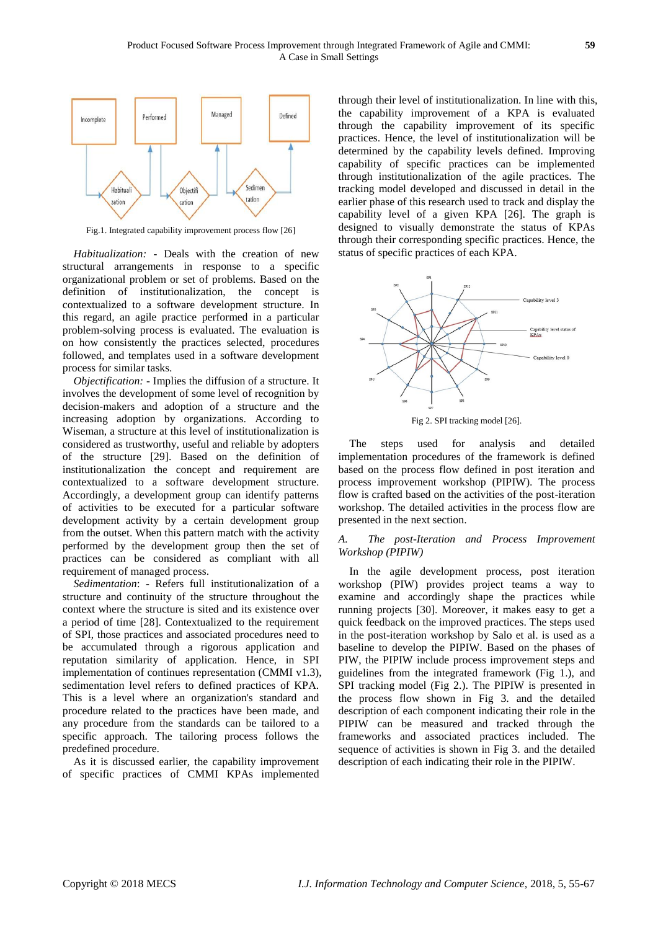

Fig.1. Integrated capability improvement process flow [26]

*Habitualization:* - Deals with the creation of new structural arrangements in response to a specific organizational problem or set of problems. Based on the definition of institutionalization, the concept is contextualized to a software development structure. In this regard, an agile practice performed in a particular problem-solving process is evaluated. The evaluation is on how consistently the practices selected, procedures followed, and templates used in a software development process for similar tasks.

*Objectification:* - Implies the diffusion of a structure. It involves the development of some level of recognition by decision-makers and adoption of a structure and the increasing adoption by organizations. According to Wiseman, a structure at this level of institutionalization is considered as trustworthy, useful and reliable by adopters of the structure [29]. Based on the definition of institutionalization the concept and requirement are contextualized to a software development structure. Accordingly, a development group can identify patterns of activities to be executed for a particular software development activity by a certain development group from the outset. When this pattern match with the activity performed by the development group then the set of practices can be considered as compliant with all requirement of managed process.

*Sedimentation*: - Refers full institutionalization of a structure and continuity of the structure throughout the context where the structure is sited and its existence over a period of time [28]. Contextualized to the requirement of SPI, those practices and associated procedures need to be accumulated through a rigorous application and reputation similarity of application. Hence, in SPI implementation of continues representation (CMMI v1.3), sedimentation level refers to defined practices of KPA. This is a level where an organization's standard and procedure related to the practices have been made, and any procedure from the standards can be tailored to a specific approach. The tailoring process follows the predefined procedure.

As it is discussed earlier, the capability improvement of specific practices of CMMI KPAs implemented through their level of institutionalization. In line with this, the capability improvement of a KPA is evaluated through the capability improvement of its specific practices. Hence, the level of institutionalization will be determined by the capability levels defined. Improving capability of specific practices can be implemented through institutionalization of the agile practices. The tracking model developed and discussed in detail in the earlier phase of this research used to track and display the capability level of a given KPA [26]. The graph is designed to visually demonstrate the status of KPAs through their corresponding specific practices. Hence, the status of specific practices of each KPA.



Fig 2. SPI tracking model [26].

The steps used for analysis and detailed implementation procedures of the framework is defined based on the process flow defined in post iteration and process improvement workshop (PIPIW). The process flow is crafted based on the activities of the post-iteration workshop. The detailed activities in the process flow are presented in the next section.

# *A. The post-Iteration and Process Improvement Workshop (PIPIW)*

In the agile development process, post iteration workshop (PIW) provides project teams a way to examine and accordingly shape the practices while running projects [30]. Moreover, it makes easy to get a quick feedback on the improved practices. The steps used in the post-iteration workshop by Salo et al. is used as a baseline to develop the PIPIW. Based on the phases of PIW, the PIPIW include process improvement steps and guidelines from the integrated framework (Fig 1.), and SPI tracking model (Fig 2.). The PIPIW is presented in the process flow shown in Fig 3. and the detailed description of each component indicating their role in the PIPIW can be measured and tracked through the frameworks and associated practices included. The sequence of activities is shown in Fig 3. and the detailed description of each indicating their role in the PIPIW.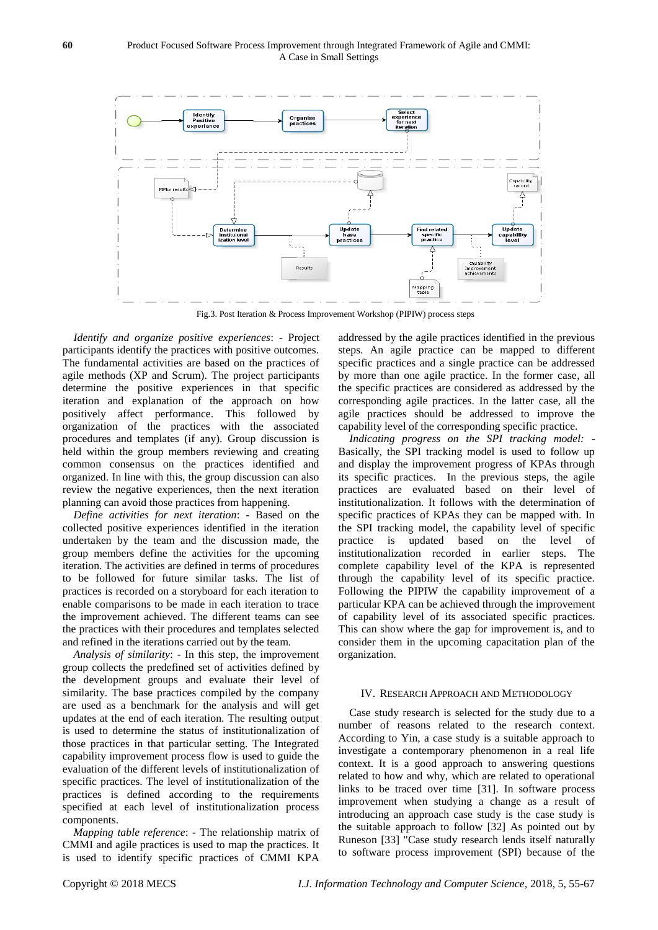

Fig.3. Post Iteration & Process Improvement Workshop (PIPIW) process steps

*Identify and organize positive experiences*: - Project participants identify the practices with positive outcomes. The fundamental activities are based on the practices of agile methods (XP and Scrum). The project participants determine the positive experiences in that specific iteration and explanation of the approach on how positively affect performance. This followed by organization of the practices with the associated procedures and templates (if any). Group discussion is held within the group members reviewing and creating common consensus on the practices identified and organized. In line with this, the group discussion can also review the negative experiences, then the next iteration planning can avoid those practices from happening.

*Define activities for next iteration*: - Based on the collected positive experiences identified in the iteration undertaken by the team and the discussion made, the group members define the activities for the upcoming iteration. The activities are defined in terms of procedures to be followed for future similar tasks. The list of practices is recorded on a storyboard for each iteration to enable comparisons to be made in each iteration to trace the improvement achieved. The different teams can see the practices with their procedures and templates selected and refined in the iterations carried out by the team.

*Analysis of similarity*: - In this step, the improvement group collects the predefined set of activities defined by the development groups and evaluate their level of similarity. The base practices compiled by the company are used as a benchmark for the analysis and will get updates at the end of each iteration. The resulting output is used to determine the status of institutionalization of those practices in that particular setting. The Integrated capability improvement process flow is used to guide the evaluation of the different levels of institutionalization of specific practices. The level of institutionalization of the practices is defined according to the requirements specified at each level of institutionalization process components.

*Mapping table reference*: - The relationship matrix of CMMI and agile practices is used to map the practices. It is used to identify specific practices of CMMI KPA addressed by the agile practices identified in the previous steps. An agile practice can be mapped to different specific practices and a single practice can be addressed by more than one agile practice. In the former case, all the specific practices are considered as addressed by the corresponding agile practices. In the latter case, all the agile practices should be addressed to improve the capability level of the corresponding specific practice.

*Indicating progress on the SPI tracking model:* - Basically, the SPI tracking model is used to follow up and display the improvement progress of KPAs through its specific practices. In the previous steps, the agile practices are evaluated based on their level of institutionalization. It follows with the determination of specific practices of KPAs they can be mapped with. In the SPI tracking model, the capability level of specific practice is updated based on the level of institutionalization recorded in earlier steps. The complete capability level of the KPA is represented through the capability level of its specific practice. Following the PIPIW the capability improvement of a particular KPA can be achieved through the improvement of capability level of its associated specific practices. This can show where the gap for improvement is, and to consider them in the upcoming capacitation plan of the organization.

#### IV. RESEARCH APPROACH AND METHODOLOGY

Case study research is selected for the study due to a number of reasons related to the research context. According to Yin, a case study is a suitable approach to investigate a contemporary phenomenon in a real life context. It is a good approach to answering questions related to how and why, which are related to operational links to be traced over time [31]. In software process improvement when studying a change as a result of introducing an approach case study is the case study is the suitable approach to follow [32] As pointed out by Runeson [33] "Case study research lends itself naturally to software process improvement (SPI) because of the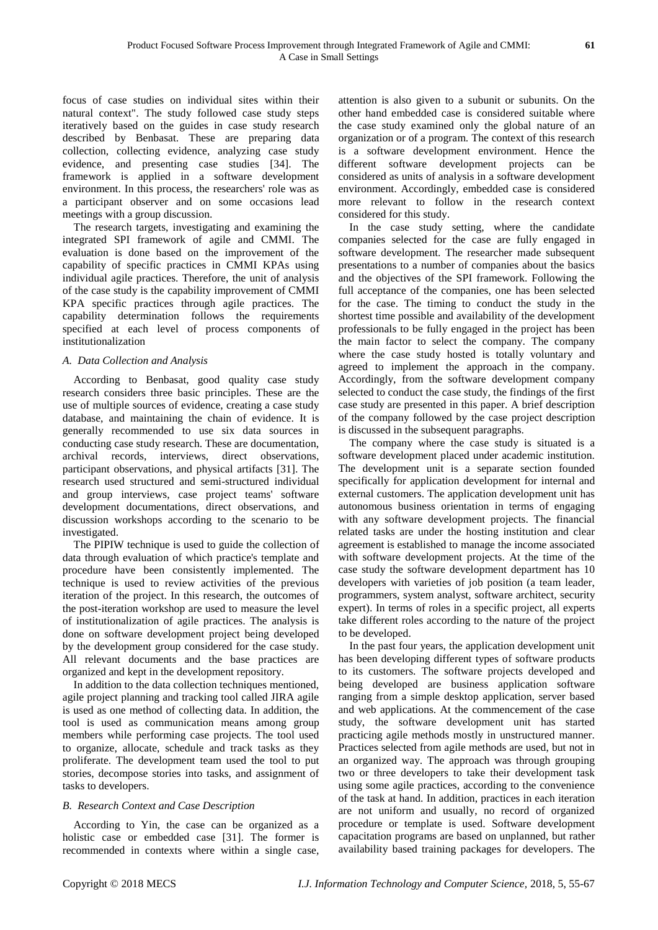focus of case studies on individual sites within their natural context". The study followed case study steps iteratively based on the guides in case study research described by Benbasat. These are preparing data collection, collecting evidence, analyzing case study evidence, and presenting case studies [34]. The framework is applied in a software development environment. In this process, the researchers' role was as a participant observer and on some occasions lead meetings with a group discussion.

The research targets, investigating and examining the integrated SPI framework of agile and CMMI. The evaluation is done based on the improvement of the capability of specific practices in CMMI KPAs using individual agile practices. Therefore, the unit of analysis of the case study is the capability improvement of CMMI KPA specific practices through agile practices. The capability determination follows the requirements specified at each level of process components of institutionalization

#### *A. Data Collection and Analysis*

According to Benbasat, good quality case study research considers three basic principles. These are the use of multiple sources of evidence, creating a case study database, and maintaining the chain of evidence. It is generally recommended to use six data sources in conducting case study research. These are documentation, archival records, interviews, direct observations, participant observations, and physical artifacts [31]. The research used structured and semi-structured individual and group interviews, case project teams' software development documentations, direct observations, and discussion workshops according to the scenario to be investigated.

The PIPIW technique is used to guide the collection of data through evaluation of which practice's template and procedure have been consistently implemented. The technique is used to review activities of the previous iteration of the project. In this research, the outcomes of the post-iteration workshop are used to measure the level of institutionalization of agile practices. The analysis is done on software development project being developed by the development group considered for the case study. All relevant documents and the base practices are organized and kept in the development repository.

In addition to the data collection techniques mentioned, agile project planning and tracking tool called JIRA agile is used as one method of collecting data. In addition, the tool is used as communication means among group members while performing case projects. The tool used to organize, allocate, schedule and track tasks as they proliferate. The development team used the tool to put stories, decompose stories into tasks, and assignment of tasks to developers.

# *B. Research Context and Case Description*

According to Yin, the case can be organized as a holistic case or embedded case [31]. The former is recommended in contexts where within a single case,

attention is also given to a subunit or subunits. On the other hand embedded case is considered suitable where the case study examined only the global nature of an organization or of a program. The context of this research is a software development environment. Hence the different software development projects can be considered as units of analysis in a software development environment. Accordingly, embedded case is considered more relevant to follow in the research context considered for this study.

In the case study setting, where the candidate companies selected for the case are fully engaged in software development. The researcher made subsequent presentations to a number of companies about the basics and the objectives of the SPI framework. Following the full acceptance of the companies, one has been selected for the case. The timing to conduct the study in the shortest time possible and availability of the development professionals to be fully engaged in the project has been the main factor to select the company. The company where the case study hosted is totally voluntary and agreed to implement the approach in the company. Accordingly, from the software development company selected to conduct the case study, the findings of the first case study are presented in this paper. A brief description of the company followed by the case project description is discussed in the subsequent paragraphs.

The company where the case study is situated is a software development placed under academic institution. The development unit is a separate section founded specifically for application development for internal and external customers. The application development unit has autonomous business orientation in terms of engaging with any software development projects. The financial related tasks are under the hosting institution and clear agreement is established to manage the income associated with software development projects. At the time of the case study the software development department has 10 developers with varieties of job position (a team leader, programmers, system analyst, software architect, security expert). In terms of roles in a specific project, all experts take different roles according to the nature of the project to be developed.

In the past four years, the application development unit has been developing different types of software products to its customers. The software projects developed and being developed are business application software ranging from a simple desktop application, server based and web applications. At the commencement of the case study, the software development unit has started practicing agile methods mostly in unstructured manner. Practices selected from agile methods are used, but not in an organized way. The approach was through grouping two or three developers to take their development task using some agile practices, according to the convenience of the task at hand. In addition, practices in each iteration are not uniform and usually, no record of organized procedure or template is used. Software development capacitation programs are based on unplanned, but rather availability based training packages for developers. The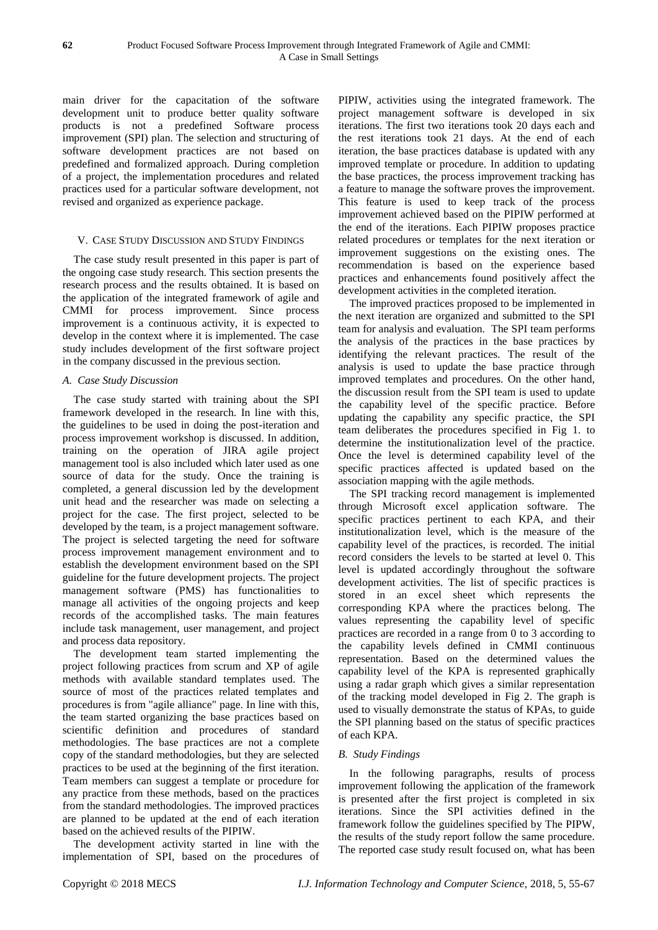main driver for the capacitation of the software development unit to produce better quality software products is not a predefined Software process improvement (SPI) plan. The selection and structuring of software development practices are not based on predefined and formalized approach. During completion of a project, the implementation procedures and related practices used for a particular software development, not revised and organized as experience package.

# V. CASE STUDY DISCUSSION AND STUDY FINDINGS

The case study result presented in this paper is part of the ongoing case study research. This section presents the research process and the results obtained. It is based on the application of the integrated framework of agile and CMMI for process improvement. Since process improvement is a continuous activity, it is expected to develop in the context where it is implemented. The case study includes development of the first software project in the company discussed in the previous section.

# *A. Case Study Discussion*

The case study started with training about the SPI framework developed in the research. In line with this, the guidelines to be used in doing the post-iteration and process improvement workshop is discussed. In addition, training on the operation of JIRA agile project management tool is also included which later used as one source of data for the study. Once the training is completed, a general discussion led by the development unit head and the researcher was made on selecting a project for the case. The first project, selected to be developed by the team, is a project management software. The project is selected targeting the need for software process improvement management environment and to establish the development environment based on the SPI guideline for the future development projects. The project management software (PMS) has functionalities to manage all activities of the ongoing projects and keep records of the accomplished tasks. The main features include task management, user management, and project and process data repository.

The development team started implementing the project following practices from scrum and XP of agile methods with available standard templates used. The source of most of the practices related templates and procedures is from "agile alliance" page. In line with this, the team started organizing the base practices based on scientific definition and procedures of standard methodologies. The base practices are not a complete copy of the standard methodologies, but they are selected practices to be used at the beginning of the first iteration. Team members can suggest a template or procedure for any practice from these methods, based on the practices from the standard methodologies. The improved practices are planned to be updated at the end of each iteration based on the achieved results of the PIPIW.

The development activity started in line with the implementation of SPI, based on the procedures of PIPIW, activities using the integrated framework. The project management software is developed in six iterations. The first two iterations took 20 days each and the rest iterations took 21 days. At the end of each iteration, the base practices database is updated with any improved template or procedure. In addition to updating the base practices, the process improvement tracking has a feature to manage the software proves the improvement. This feature is used to keep track of the process improvement achieved based on the PIPIW performed at the end of the iterations. Each PIPIW proposes practice related procedures or templates for the next iteration or improvement suggestions on the existing ones. The recommendation is based on the experience based practices and enhancements found positively affect the development activities in the completed iteration.

The improved practices proposed to be implemented in the next iteration are organized and submitted to the SPI team for analysis and evaluation. The SPI team performs the analysis of the practices in the base practices by identifying the relevant practices. The result of the analysis is used to update the base practice through improved templates and procedures. On the other hand, the discussion result from the SPI team is used to update the capability level of the specific practice. Before updating the capability any specific practice, the SPI team deliberates the procedures specified in Fig 1. to determine the institutionalization level of the practice. Once the level is determined capability level of the specific practices affected is updated based on the association mapping with the agile methods.

The SPI tracking record management is implemented through Microsoft excel application software. The specific practices pertinent to each KPA, and their institutionalization level, which is the measure of the capability level of the practices, is recorded. The initial record considers the levels to be started at level 0. This level is updated accordingly throughout the software development activities. The list of specific practices is stored in an excel sheet which represents the corresponding KPA where the practices belong. The values representing the capability level of specific practices are recorded in a range from 0 to 3 according to the capability levels defined in CMMI continuous representation. Based on the determined values the capability level of the KPA is represented graphically using a radar graph which gives a similar representation of the tracking model developed in Fig 2. The graph is used to visually demonstrate the status of KPAs, to guide the SPI planning based on the status of specific practices of each KPA.

# *B. Study Findings*

In the following paragraphs, results of process improvement following the application of the framework is presented after the first project is completed in six iterations. Since the SPI activities defined in the framework follow the guidelines specified by The PIPW, the results of the study report follow the same procedure. The reported case study result focused on, what has been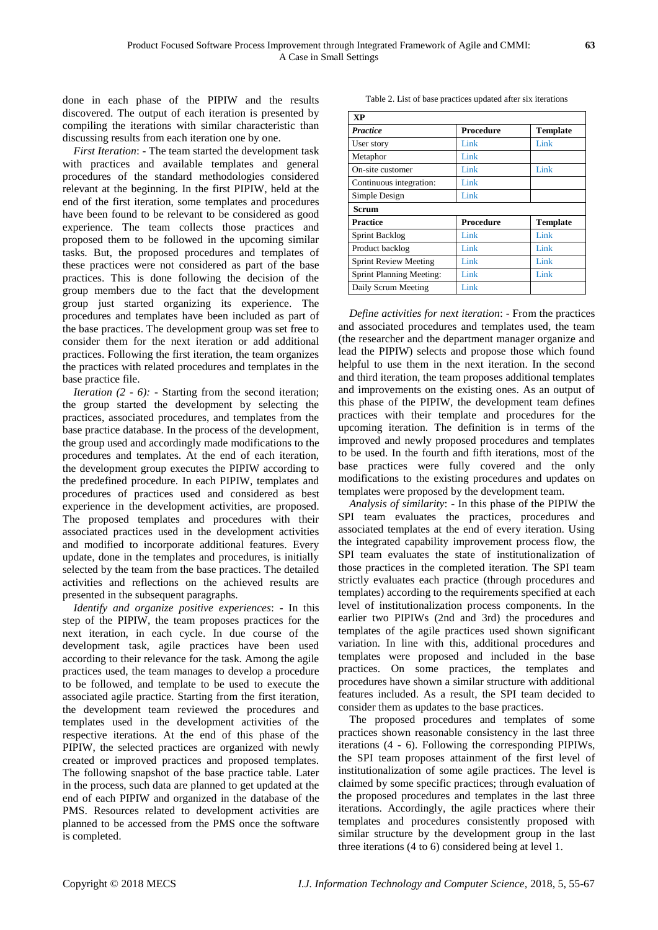done in each phase of the PIPIW and the results discovered. The output of each iteration is presented by compiling the iterations with similar characteristic than discussing results from each iteration one by one.

*First Iteration*: - The team started the development task with practices and available templates and general procedures of the standard methodologies considered relevant at the beginning. In the first PIPIW, held at the end of the first iteration, some templates and procedures have been found to be relevant to be considered as good experience. The team collects those practices and proposed them to be followed in the upcoming similar tasks. But, the proposed procedures and templates of these practices were not considered as part of the base practices. This is done following the decision of the group members due to the fact that the development group just started organizing its experience. The procedures and templates have been included as part of the base practices. The development group was set free to consider them for the next iteration or add additional practices. Following the first iteration, the team organizes the practices with related procedures and templates in the base practice file.

*Iteration (2 - 6):* - Starting from the second iteration; the group started the development by selecting the practices, associated procedures, and templates from the base practice database. In the process of the development, the group used and accordingly made modifications to the procedures and templates. At the end of each iteration, the development group executes the PIPIW according to the predefined procedure. In each PIPIW, templates and procedures of practices used and considered as best experience in the development activities, are proposed. The proposed templates and procedures with their associated practices used in the development activities and modified to incorporate additional features. Every update, done in the templates and procedures, is initially selected by the team from the base practices. The detailed activities and reflections on the achieved results are presented in the subsequent paragraphs.

*Identify and organize positive experiences*: - In this step of the PIPIW, the team proposes practices for the next iteration, in each cycle. In due course of the development task, agile practices have been used according to their relevance for the task. Among the agile practices used, the team manages to develop a procedure to be followed, and template to be used to execute the associated agile practice. Starting from the first iteration, the development team reviewed the procedures and templates used in the development activities of the respective iterations. At the end of this phase of the PIPIW, the selected practices are organized with newly created or improved practices and proposed templates. The following snapshot of the base practice table. Later in the process, such data are planned to get updated at the end of each PIPIW and organized in the database of the PMS. Resources related to development activities are planned to be accessed from the PMS once the software is completed.

Table 2. List of base practices updated after six iterations

| $\mathbf{X} \mathbf{P}$         |                  |                 |  |  |  |  |
|---------------------------------|------------------|-----------------|--|--|--|--|
| <b>Practice</b>                 | <b>Procedure</b> | <b>Template</b> |  |  |  |  |
| User story                      | Link             | Link            |  |  |  |  |
| Metaphor                        | Link             |                 |  |  |  |  |
| On-site customer                | Link             | Link            |  |  |  |  |
| Continuous integration:         | Link             |                 |  |  |  |  |
| Simple Design                   | Link             |                 |  |  |  |  |
| <b>Scrum</b>                    |                  |                 |  |  |  |  |
| Practice                        | Procedure        | <b>Template</b> |  |  |  |  |
| Sprint Backlog                  | Link             | Link            |  |  |  |  |
| Product backlog                 | Link             | Link            |  |  |  |  |
| <b>Sprint Review Meeting</b>    | Link             | Link            |  |  |  |  |
| <b>Sprint Planning Meeting:</b> | Link             | Link            |  |  |  |  |
| Daily Scrum Meeting             | Link             |                 |  |  |  |  |

*Define activities for next iteration*: - From the practices and associated procedures and templates used, the team (the researcher and the department manager organize and lead the PIPIW) selects and propose those which found helpful to use them in the next iteration. In the second and third iteration, the team proposes additional templates and improvements on the existing ones. As an output of this phase of the PIPIW, the development team defines practices with their template and procedures for the upcoming iteration. The definition is in terms of the improved and newly proposed procedures and templates to be used. In the fourth and fifth iterations, most of the base practices were fully covered and the only modifications to the existing procedures and updates on templates were proposed by the development team.

*Analysis of similarity*: - In this phase of the PIPIW the SPI team evaluates the practices, procedures and associated templates at the end of every iteration. Using the integrated capability improvement process flow, the SPI team evaluates the state of institutionalization of those practices in the completed iteration. The SPI team strictly evaluates each practice (through procedures and templates) according to the requirements specified at each level of institutionalization process components. In the earlier two PIPIWs (2nd and 3rd) the procedures and templates of the agile practices used shown significant variation. In line with this, additional procedures and templates were proposed and included in the base practices. On some practices, the templates and procedures have shown a similar structure with additional features included. As a result, the SPI team decided to consider them as updates to the base practices.

The proposed procedures and templates of some practices shown reasonable consistency in the last three iterations (4 - 6). Following the corresponding PIPIWs, the SPI team proposes attainment of the first level of institutionalization of some agile practices. The level is claimed by some specific practices; through evaluation of the proposed procedures and templates in the last three iterations. Accordingly, the agile practices where their templates and procedures consistently proposed with similar structure by the development group in the last three iterations (4 to 6) considered being at level 1.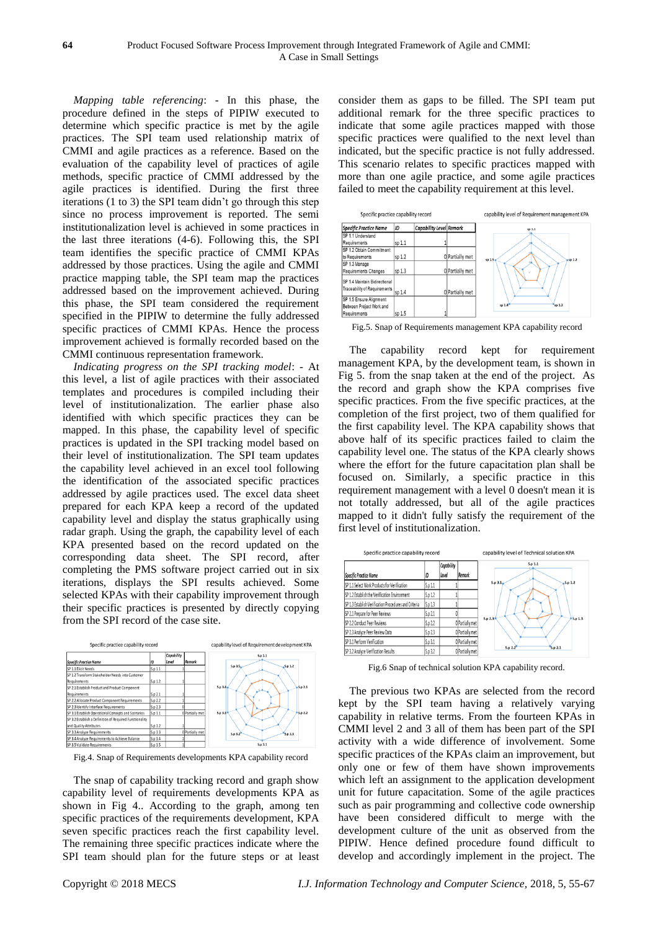*Mapping table referencing*: - In this phase, the procedure defined in the steps of PIPIW executed to determine which specific practice is met by the agile practices. The SPI team used relationship matrix of CMMI and agile practices as a reference. Based on the evaluation of the capability level of practices of agile methods, specific practice of CMMI addressed by the agile practices is identified. During the first three iterations (1 to 3) the SPI team didn't go through this step since no process improvement is reported. The semi institutionalization level is achieved in some practices in the last three iterations (4-6). Following this, the SPI team identifies the specific practice of CMMI KPAs addressed by those practices. Using the agile and CMMI practice mapping table, the SPI team map the practices addressed based on the improvement achieved. During this phase, the SPI team considered the requirement specified in the PIPIW to determine the fully addressed specific practices of CMMI KPAs. Hence the process improvement achieved is formally recorded based on the CMMI continuous representation framework.

*Indicating progress on the SPI tracking model*: - At this level, a list of agile practices with their associated templates and procedures is compiled including their level of institutionalization. The earlier phase also identified with which specific practices they can be mapped. In this phase, the capability level of specific practices is updated in the SPI tracking model based on their level of institutionalization. The SPI team updates the capability level achieved in an excel tool following the identification of the associated specific practices addressed by agile practices used. The excel data sheet prepared for each KPA keep a record of the updated capability level and display the status graphically using radar graph. Using the graph, the capability level of each KPA presented based on the record updated on the corresponding data sheet. The SPI record, after completing the PMS software project carried out in six iterations, displays the SPI results achieved. Some selected KPAs with their capability improvement through their specific practices is presented by directly copying from the SPI record of the case site.



Fig.4. Snap of Requirements developments KPA capability record

The snap of capability tracking record and graph show capability level of requirements developments KPA as shown in Fig 4.. According to the graph, among ten specific practices of the requirements development, KPA seven specific practices reach the first capability level. The remaining three specific practices indicate where the SPI team should plan for the future steps or at least consider them as gaps to be filled. The SPI team put additional remark for the three specific practices to indicate that some agile practices mapped with those specific practices were qualified to the next level than indicated, but the specific practice is not fully addressed. This scenario relates to specific practices mapped with more than one agile practice, and some agile practices failed to meet the capability requirement at this level.



Fig.5. Snap of Requirements management KPA capability record

The capability record kept for requirement management KPA, by the development team, is shown in Fig 5. from the snap taken at the end of the project. As the record and graph show the KPA comprises five specific practices. From the five specific practices, at the completion of the first project, two of them qualified for the first capability level. The KPA capability shows that above half of its specific practices failed to claim the capability level one. The status of the KPA clearly shows where the effort for the future capacitation plan shall be focused on. Similarly, a specific practice in this requirement management with a level 0 doesn't mean it is not totally addressed, but all of the agile practices mapped to it didn't fully satisfy the requirement of the first level of institutionalization.



Fig.6 Snap of technical solution KPA capability record.

The previous two KPAs are selected from the record kept by the SPI team having a relatively varying capability in relative terms. From the fourteen KPAs in CMMI level 2 and 3 all of them has been part of the SPI activity with a wide difference of involvement. Some specific practices of the KPAs claim an improvement, but only one or few of them have shown improvements which left an assignment to the application development unit for future capacitation. Some of the agile practices such as pair programming and collective code ownership have been considered difficult to merge with the development culture of the unit as observed from the PIPIW. Hence defined procedure found difficult to develop and accordingly implement in the project. The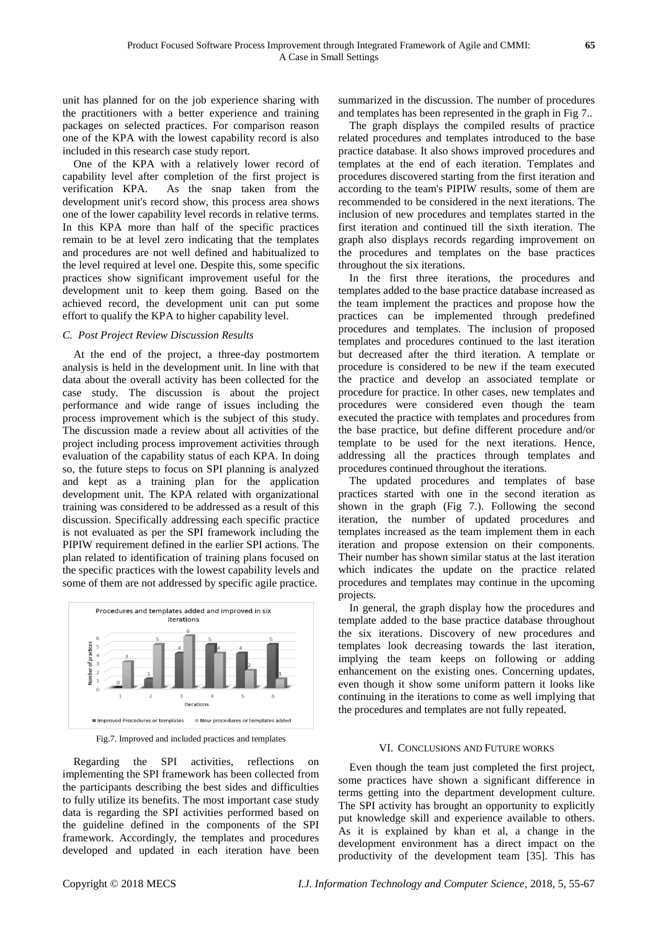unit has planned for on the job experience sharing with the practitioners with a better experience and training packages on selected practices. For comparison reason one of the KPA with the lowest capability record is also included in this research case study report.

One of the KPA with a relatively lower record of capability level after completion of the first project is verification KPA. As the snap taken from the development unit's record show, this process area shows one of the lower capability level records in relative terms. In this KPA more than half of the specific practices remain to be at level zero indicating that the templates and procedures are not well defined and habitualized to the level required at level one. Despite this, some specific practices show significant improvement useful for the development unit to keep them going. Based on the achieved record, the development unit can put some effort to qualify the KPA to higher capability level.

#### *C. Post Project Review Discussion Results*

At the end of the project, a three-day postmortem analysis is held in the development unit. In line with that data about the overall activity has been collected for the case study. The discussion is about the project performance and wide range of issues including the process improvement which is the subject of this study. The discussion made a review about all activities of the project including process improvement activities through evaluation of the capability status of each KPA. In doing so, the future steps to focus on SPI planning is analyzed and kept as a training plan for the application development unit. The KPA related with organizational training was considered to be addressed as a result of this discussion. Specifically addressing each specific practice is not evaluated as per the SPI framework including the PIPIW requirement defined in the earlier SPI actions. The plan related to identification of training plans focused on the specific practices with the lowest capability levels and some of them are not addressed by specific agile practice.



Fig.7. Improved and included practices and templates

Regarding the SPI activities, reflections on implementing the SPI framework has been collected from the participants describing the best sides and difficulties to fully utilize its benefits. The most important case study data is regarding the SPI activities performed based on the guideline defined in the components of the SPI framework. Accordingly, the templates and procedures developed and updated in each iteration have been

summarized in the discussion. The number of procedures and templates has been represented in the graph in Fig 7..

The graph displays the compiled results of practice related procedures and templates introduced to the base practice database. It also shows improved procedures and templates at the end of each iteration. Templates and procedures discovered starting from the first iteration and according to the team's PIPIW results, some of them are recommended to be considered in the next iterations. The inclusion of new procedures and templates started in the first iteration and continued till the sixth iteration. The graph also displays records regarding improvement on the procedures and templates on the base practices throughout the six iterations.

In the first three iterations, the procedures and templates added to the base practice database increased as the team implement the practices and propose how the practices can be implemented through predefined procedures and templates. The inclusion of proposed templates and procedures continued to the last iteration but decreased after the third iteration. A template or procedure is considered to be new if the team executed the practice and develop an associated template or procedure for practice. In other cases, new templates and procedures were considered even though the team executed the practice with templates and procedures from the base practice, but define different procedure and/or template to be used for the next iterations. Hence, addressing all the practices through templates and procedures continued throughout the iterations.

The updated procedures and templates of base practices started with one in the second iteration as shown in the graph (Fig 7.). Following the second iteration, the number of updated procedures and templates increased as the team implement them in each iteration and propose extension on their components. Their number has shown similar status at the last iteration which indicates the update on the practice related procedures and templates may continue in the upcoming projects.

In general, the graph display how the procedures and template added to the base practice database throughout the six iterations. Discovery of new procedures and templates look decreasing towards the last iteration, implying the team keeps on following or adding enhancement on the existing ones. Concerning updates, even though it show some uniform pattern it looks like continuing in the iterations to come as well implying that the procedures and templates are not fully repeated.

#### VI. CONCLUSIONS AND FUTURE WORKS

Even though the team just completed the first project, some practices have shown a significant difference in terms getting into the department development culture. The SPI activity has brought an opportunity to explicitly put knowledge skill and experience available to others. As it is explained by khan et al, a change in the development environment has a direct impact on the productivity of the development team [35]. This has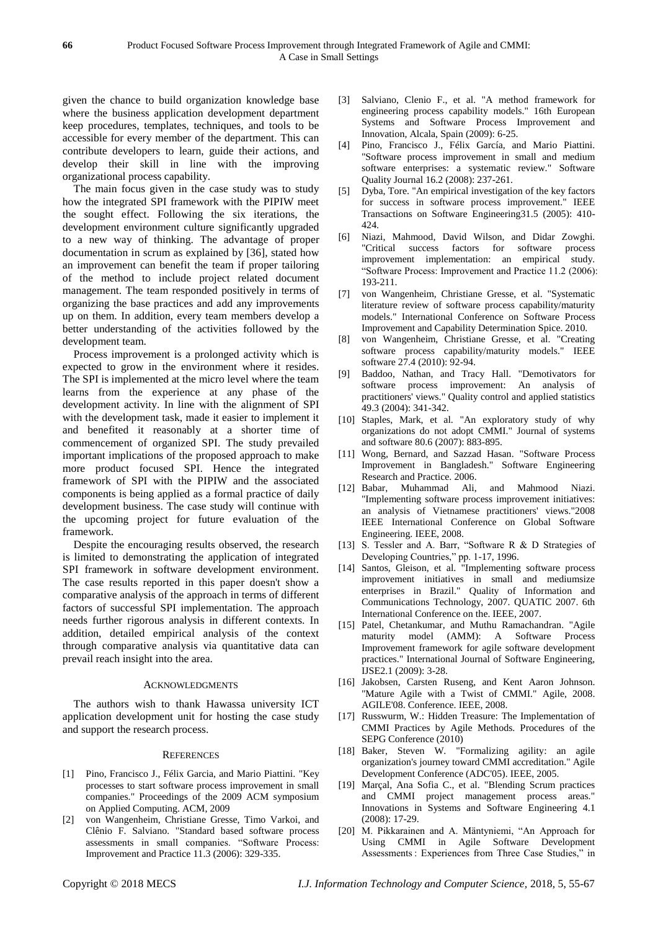given the chance to build organization knowledge base where the business application development department keep procedures, templates, techniques, and tools to be accessible for every member of the department. This can contribute developers to learn, guide their actions, and develop their skill in line with the improving organizational process capability.

The main focus given in the case study was to study how the integrated SPI framework with the PIPIW meet the sought effect. Following the six iterations, the development environment culture significantly upgraded to a new way of thinking. The advantage of proper documentation in scrum as explained by [36], stated how an improvement can benefit the team if proper tailoring of the method to include project related document management. The team responded positively in terms of organizing the base practices and add any improvements up on them. In addition, every team members develop a better understanding of the activities followed by the development team.

Process improvement is a prolonged activity which is expected to grow in the environment where it resides. The SPI is implemented at the micro level where the team learns from the experience at any phase of the development activity. In line with the alignment of SPI with the development task, made it easier to implement it and benefited it reasonably at a shorter time of commencement of organized SPI. The study prevailed important implications of the proposed approach to make more product focused SPI. Hence the integrated framework of SPI with the PIPIW and the associated components is being applied as a formal practice of daily development business. The case study will continue with the upcoming project for future evaluation of the framework.

Despite the encouraging results observed, the research is limited to demonstrating the application of integrated SPI framework in software development environment. The case results reported in this paper doesn't show a comparative analysis of the approach in terms of different factors of successful SPI implementation. The approach needs further rigorous analysis in different contexts. In addition, detailed empirical analysis of the context through comparative analysis via quantitative data can prevail reach insight into the area.

#### ACKNOWLEDGMENTS

The authors wish to thank Hawassa university ICT application development unit for hosting the case study and support the research process.

#### **REFERENCES**

- [1] Pino, Francisco J., Félix Garcia, and Mario Piattini. "Key processes to start software process improvement in small companies." Proceedings of the 2009 ACM symposium on Applied Computing. ACM, 2009
- [2] von Wangenheim, Christiane Gresse, Timo Varkoi, and Clênio F. Salviano. "Standard based software process assessments in small companies. "Software Process: Improvement and Practice 11.3 (2006): 329-335.
- [3] Salviano, Clenio F., et al. "A method framework for engineering process capability models." 16th European Systems and Software Process Improvement and Innovation, Alcala, Spain (2009): 6-25.
- [4] Pino, Francisco J., Félix García, and Mario Piattini. "Software process improvement in small and medium software enterprises: a systematic review." Software Quality Journal 16.2 (2008): 237-261.
- [5] Dyba, Tore. "An empirical investigation of the key factors for success in software process improvement." IEEE Transactions on Software Engineering31.5 (2005): 410- 424.
- [6] Niazi, Mahmood, David Wilson, and Didar Zowghi. "Critical success factors for software process improvement implementation: an empirical study. "Software Process: Improvement and Practice 11.2 (2006): 193-211.
- [7] von Wangenheim, Christiane Gresse, et al. "Systematic literature review of software process capability/maturity models." International Conference on Software Process Improvement and Capability Determination Spice. 2010.
- [8] von Wangenheim, Christiane Gresse, et al. "Creating software process capability/maturity models." IEEE software 27.4 (2010): 92-94.
- [9] Baddoo, Nathan, and Tracy Hall. "Demotivators for software process improvement: An analysis of practitioners' views." Quality control and applied statistics 49.3 (2004): 341-342.
- [10] Staples, Mark, et al. "An exploratory study of why organizations do not adopt CMMI." Journal of systems and software 80.6 (2007): 883-895.
- [11] Wong, Bernard, and Sazzad Hasan. "Software Process Improvement in Bangladesh." Software Engineering Research and Practice. 2006.
- [12] Babar, Muhammad Ali, and Mahmood Niazi. "Implementing software process improvement initiatives: an analysis of Vietnamese practitioners' views."2008 IEEE International Conference on Global Software Engineering. IEEE, 2008.
- [13] S. Tessler and A. Barr, "Software R & D Strategies of Developing Countries," pp. 1-17, 1996.
- [14] Santos, Gleison, et al. "Implementing software process improvement initiatives in small and mediumsize enterprises in Brazil." Quality of Information and Communications Technology, 2007. QUATIC 2007. 6th International Conference on the. IEEE, 2007.
- [15] Patel, Chetankumar, and Muthu Ramachandran. "Agile maturity model (AMM): A Software Process Improvement framework for agile software development practices." International Journal of Software Engineering, IJSE2.1 (2009): 3-28.
- [16] Jakobsen, Carsten Ruseng, and Kent Aaron Johnson. "Mature Agile with a Twist of CMMI." Agile, 2008. AGILE'08. Conference. IEEE, 2008.
- [17] Russwurm, W.: Hidden Treasure: The Implementation of CMMI Practices by Agile Methods. Procedures of the SEPG Conference (2010)
- [18] Baker, Steven W. "Formalizing agility: an agile organization's journey toward CMMI accreditation." Agile Development Conference (ADC'05). IEEE, 2005.
- [19] Marçal, Ana Sofia C., et al. "Blending Scrum practices and CMMI project management process areas." Innovations in Systems and Software Engineering 4.1 (2008): 17-29.
- [20] M. Pikkarainen and A. Mäntyniemi, "An Approach for Using CMMI in Agile Software Development Assessments : Experiences from Three Case Studies," in